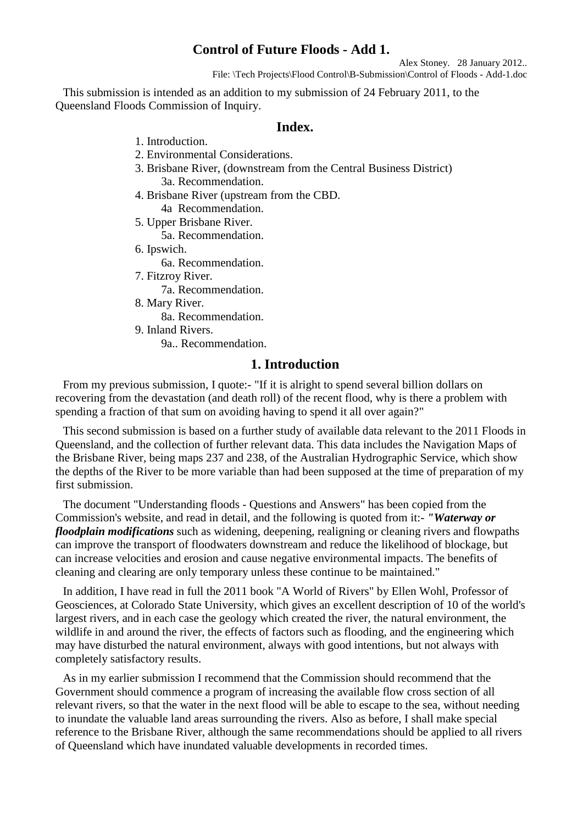# **Control of Future Floods - Add 1.**

Alex Stoney. 28 January 2012.. File: \Tech Projects\Flood Control\B-Submission\Control of Floods - Add-1.doc

This submission is intended as an addition to my submission of 24 February 2011, to the Queensland Floods Commission of Inquiry.

## **Index.**

- 1. Introduction.
- 2. Environmental Considerations.
- 3. Brisbane River, (downstream from the Central Business District) 3a. Recommendation.
- 4. Brisbane River (upstream from the CBD. 4a Recommendation.
- 5. Upper Brisbane River.
	- 5a. Recommendation.
- 6. Ipswich.

6a. Recommendation.

- 7. Fitzroy River.
	- 7a. Recommendation.
- 8. Mary River.

8a. Recommendation.

- 9. Inland Rivers.
	- 9a.. Recommendation.

# **1. Introduction**

From my previous submission, I quote:- "If it is alright to spend several billion dollars on recovering from the devastation (and death roll) of the recent flood, why is there a problem with spending a fraction of that sum on avoiding having to spend it all over again?"

This second submission is based on a further study of available data relevant to the 2011 Floods in Queensland, and the collection of further relevant data. This data includes the Navigation Maps of the Brisbane River, being maps 237 and 238, of the Australian Hydrographic Service, which show the depths of the River to be more variable than had been supposed at the time of preparation of my first submission.

The document "Understanding floods - Questions and Answers" has been copied from the Commission's website, and read in detail, and the following is quoted from it:- *"Waterway or floodplain modifications* such as widening, deepening, realigning or cleaning rivers and flowpaths can improve the transport of floodwaters downstream and reduce the likelihood of blockage, but can increase velocities and erosion and cause negative environmental impacts. The benefits of cleaning and clearing are only temporary unless these continue to be maintained."

In addition, I have read in full the 2011 book "A World of Rivers" by Ellen Wohl, Professor of Geosciences, at Colorado State University, which gives an excellent description of 10 of the world's largest rivers, and in each case the geology which created the river, the natural environment, the wildlife in and around the river, the effects of factors such as flooding, and the engineering which may have disturbed the natural environment, always with good intentions, but not always with completely satisfactory results.

As in my earlier submission I recommend that the Commission should recommend that the Government should commence a program of increasing the available flow cross section of all relevant rivers, so that the water in the next flood will be able to escape to the sea, without needing to inundate the valuable land areas surrounding the rivers. Also as before, I shall make special reference to the Brisbane River, although the same recommendations should be applied to all rivers of Queensland which have inundated valuable developments in recorded times.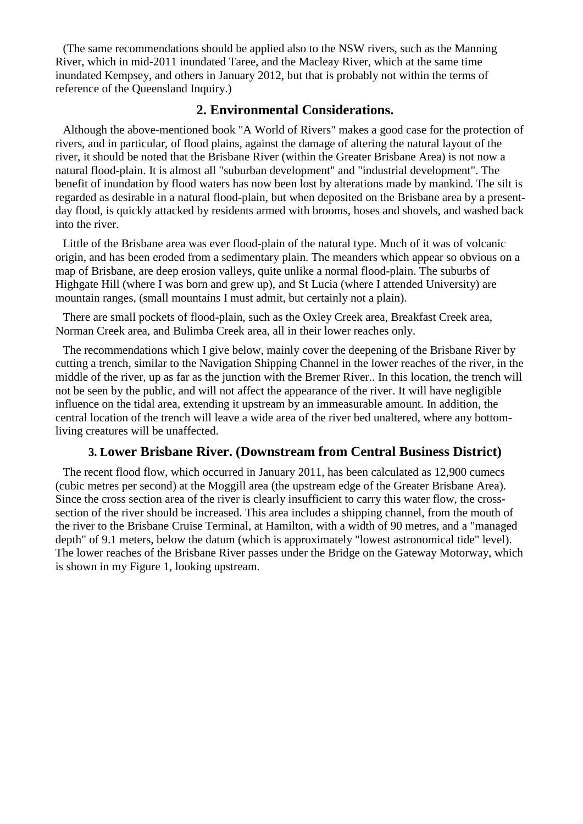(The same recommendations should be applied also to the NSW rivers, such as the Manning River, which in mid-2011 inundated Taree, and the Macleay River, which at the same time inundated Kempsey, and others in January 2012, but that is probably not within the terms of reference of the Queensland Inquiry.)

# **2. Environmental Considerations.**

Although the above-mentioned book "A World of Rivers" makes a good case for the protection of rivers, and in particular, of flood plains, against the damage of altering the natural layout of the river, it should be noted that the Brisbane River (within the Greater Brisbane Area) is not now a natural flood-plain. It is almost all "suburban development" and "industrial development". The benefit of inundation by flood waters has now been lost by alterations made by mankind. The silt is regarded as desirable in a natural flood-plain, but when deposited on the Brisbane area by a presentday flood, is quickly attacked by residents armed with brooms, hoses and shovels, and washed back into the river.

Little of the Brisbane area was ever flood-plain of the natural type. Much of it was of volcanic origin, and has been eroded from a sedimentary plain. The meanders which appear so obvious on a map of Brisbane, are deep erosion valleys, quite unlike a normal flood-plain. The suburbs of Highgate Hill (where I was born and grew up), and St Lucia (where I attended University) are mountain ranges, (small mountains I must admit, but certainly not a plain).

There are small pockets of flood-plain, such as the Oxley Creek area, Breakfast Creek area, Norman Creek area, and Bulimba Creek area, all in their lower reaches only.

The recommendations which I give below, mainly cover the deepening of the Brisbane River by cutting a trench, similar to the Navigation Shipping Channel in the lower reaches of the river, in the middle of the river, up as far as the junction with the Bremer River.. In this location, the trench will not be seen by the public, and will not affect the appearance of the river. It will have negligible influence on the tidal area, extending it upstream by an immeasurable amount. In addition, the central location of the trench will leave a wide area of the river bed unaltered, where any bottomliving creatures will be unaffected.

# **3. Lower Brisbane River. (Downstream from Central Business District)**

The recent flood flow, which occurred in January 2011, has been calculated as 12,900 cumecs (cubic metres per second) at the Moggill area (the upstream edge of the Greater Brisbane Area). Since the cross section area of the river is clearly insufficient to carry this water flow, the crosssection of the river should be increased. This area includes a shipping channel, from the mouth of the river to the Brisbane Cruise Terminal, at Hamilton, with a width of 90 metres, and a "managed depth" of 9.1 meters, below the datum (which is approximately "lowest astronomical tide" level). The lower reaches of the Brisbane River passes under the Bridge on the Gateway Motorway, which is shown in my Figure 1, looking upstream.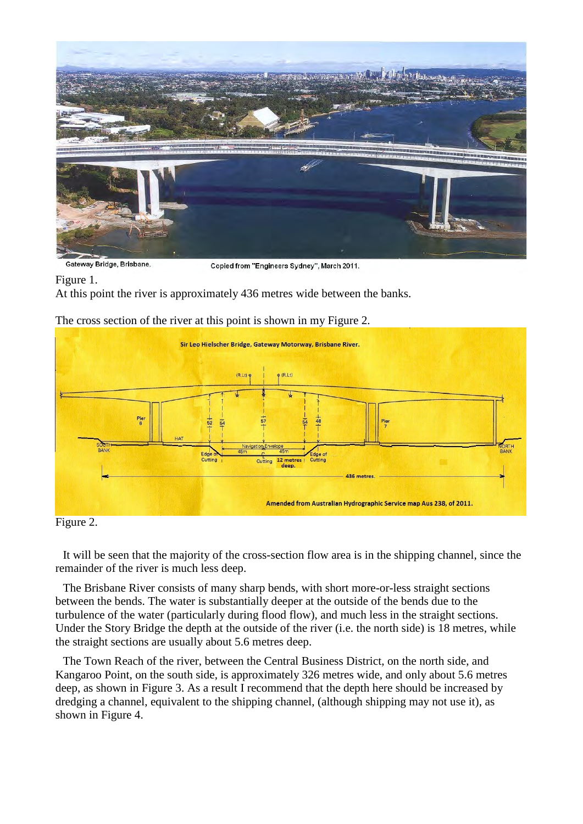

Gateway Bridge, Brisbane.

Copied from "Engineers Sydney", March 2011.

Figure 1.

At this point the river is approximately 436 metres wide between the banks.

The cross section of the river at this point is shown in my Figure 2.



## Figure 2.

It will be seen that the majority of the cross-section flow area is in the shipping channel, since the remainder of the river is much less deep.

The Brisbane River consists of many sharp bends, with short more-or-less straight sections between the bends. The water is substantially deeper at the outside of the bends due to the turbulence of the water (particularly during flood flow), and much less in the straight sections. Under the Story Bridge the depth at the outside of the river (i.e. the north side) is 18 metres, while the straight sections are usually about 5.6 metres deep.

The Town Reach of the river, between the Central Business District, on the north side, and Kangaroo Point, on the south side, is approximately 326 metres wide, and only about 5.6 metres deep, as shown in Figure 3. As a result I recommend that the depth here should be increased by dredging a channel, equivalent to the shipping channel, (although shipping may not use it), as shown in Figure 4.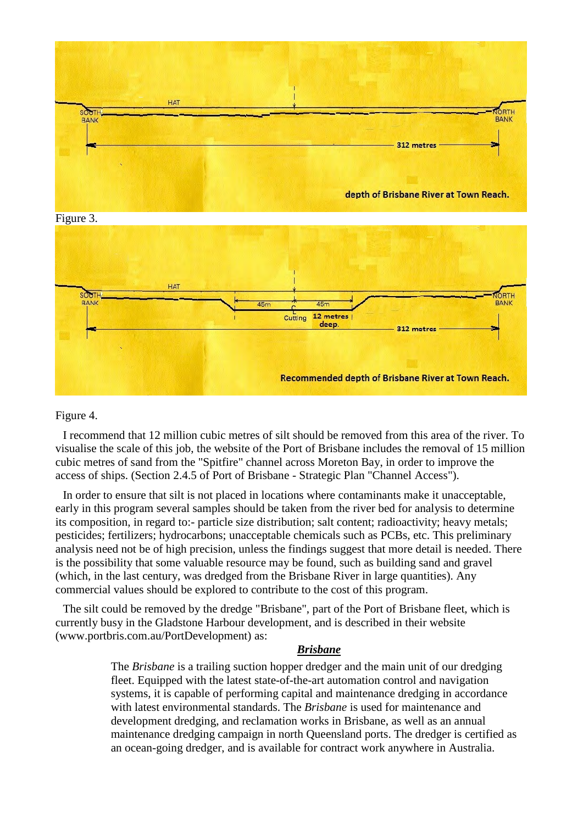

#### Figure 4.

I recommend that 12 million cubic metres of silt should be removed from this area of the river. To visualise the scale of this job, the website of the Port of Brisbane includes the removal of 15 million cubic metres of sand from the "Spitfire" channel across Moreton Bay, in order to improve the access of ships. (Section 2.4.5 of Port of Brisbane - Strategic Plan "Channel Access").

In order to ensure that silt is not placed in locations where contaminants make it unacceptable, early in this program several samples should be taken from the river bed for analysis to determine its composition, in regard to:- particle size distribution; salt content; radioactivity; heavy metals; pesticides; fertilizers; hydrocarbons; unacceptable chemicals such as PCBs, etc. This preliminary analysis need not be of high precision, unless the findings suggest that more detail is needed. There is the possibility that some valuable resource may be found, such as building sand and gravel (which, in the last century, was dredged from the Brisbane River in large quantities). Any commercial values should be explored to contribute to the cost of this program.

The silt could be removed by the dredge "Brisbane", part of the Port of Brisbane fleet, which is currently busy in the Gladstone Harbour development, and is described in their website (www.portbris.com.au/PortDevelopment) as:

#### *Brisbane*

The *Brisbane* is a trailing suction hopper dredger and the main unit of our dredging fleet. Equipped with the latest state-of-the-art automation control and navigation systems, it is capable of performing capital and maintenance dredging in accordance with latest environmental standards. The *Brisbane* is used for maintenance and development dredging, and reclamation works in Brisbane, as well as an annual maintenance dredging campaign in north Queensland ports. The dredger is certified as an ocean-going dredger, and is available for contract work anywhere in Australia.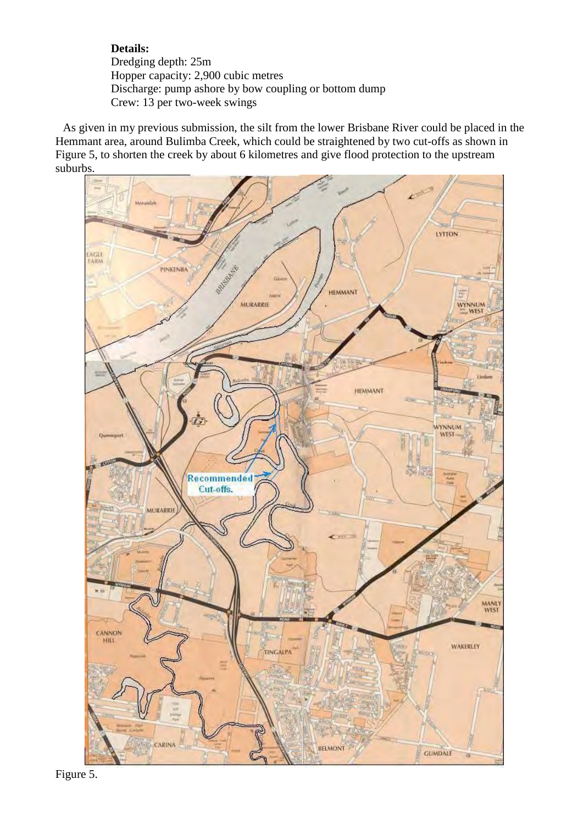## **Details:** Dredging depth: 25m Hopper capacity: 2,900 cubic metres Discharge: pump ashore by bow coupling or bottom dump Crew: 13 per two-week swings

As given in my previous submission, the silt from the lower Brisbane River could be placed in the Hemmant area, around Bulimba Creek, which could be straightened by two cut-offs as shown in Figure 5, to shorten the creek by about 6 kilometres and give flood protection to the upstream suburbs.



 Figure 5.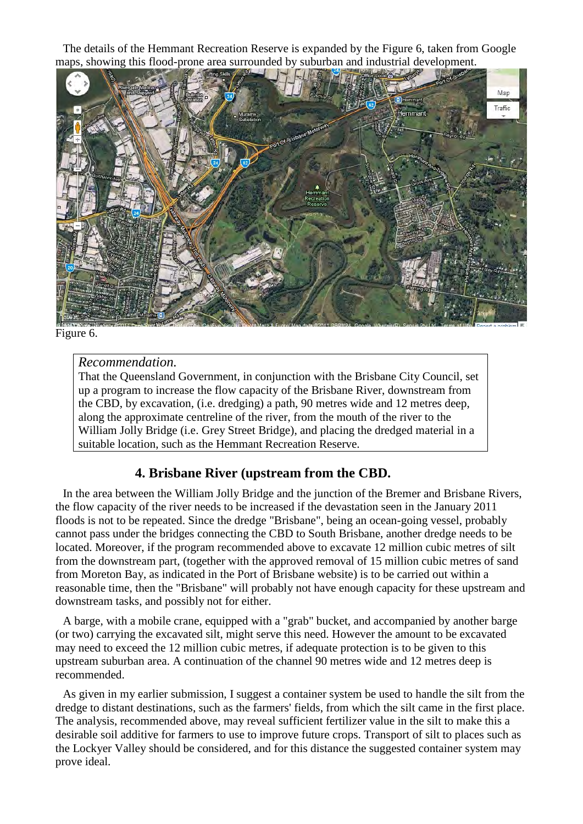The details of the Hemmant Recreation Reserve is expanded by the Figure 6, taken from Google maps, showing this flood-prone area surrounded by suburban and industrial development.



Figure 6.

# *Recommendation.*

That the Queensland Government, in conjunction with the Brisbane City Council, set up a program to increase the flow capacity of the Brisbane River, downstream from the CBD, by excavation, (i.e. dredging) a path, 90 metres wide and 12 metres deep, along the approximate centreline of the river, from the mouth of the river to the William Jolly Bridge (i.e. Grey Street Bridge), and placing the dredged material in a suitable location, such as the Hemmant Recreation Reserve.

# **4. Brisbane River (upstream from the CBD.**

In the area between the William Jolly Bridge and the junction of the Bremer and Brisbane Rivers, the flow capacity of the river needs to be increased if the devastation seen in the January 2011 floods is not to be repeated. Since the dredge "Brisbane", being an ocean-going vessel, probably cannot pass under the bridges connecting the CBD to South Brisbane, another dredge needs to be located. Moreover, if the program recommended above to excavate 12 million cubic metres of silt from the downstream part, (together with the approved removal of 15 million cubic metres of sand from Moreton Bay, as indicated in the Port of Brisbane website) is to be carried out within a reasonable time, then the "Brisbane" will probably not have enough capacity for these upstream and downstream tasks, and possibly not for either.

A barge, with a mobile crane, equipped with a "grab" bucket, and accompanied by another barge (or two) carrying the excavated silt, might serve this need. However the amount to be excavated may need to exceed the 12 million cubic metres, if adequate protection is to be given to this upstream suburban area. A continuation of the channel 90 metres wide and 12 metres deep is recommended.

As given in my earlier submission, I suggest a container system be used to handle the silt from the dredge to distant destinations, such as the farmers' fields, from which the silt came in the first place. The analysis, recommended above, may reveal sufficient fertilizer value in the silt to make this a desirable soil additive for farmers to use to improve future crops. Transport of silt to places such as the Lockyer Valley should be considered, and for this distance the suggested container system may prove ideal.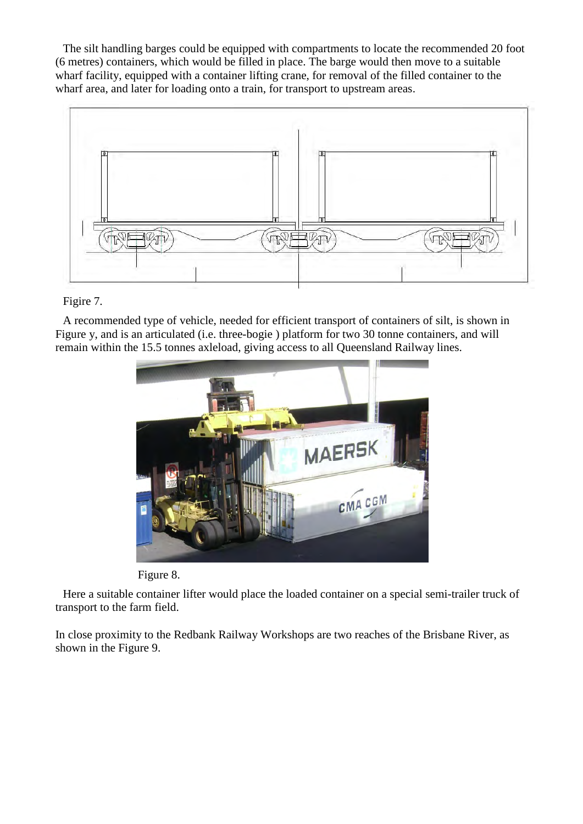The silt handling barges could be equipped with compartments to locate the recommended 20 foot (6 metres) containers, which would be filled in place. The barge would then move to a suitable wharf facility, equipped with a container lifting crane, for removal of the filled container to the wharf area, and later for loading onto a train, for transport to upstream areas.



## Figire 7.

A recommended type of vehicle, needed for efficient transport of containers of silt, is shown in Figure y, and is an articulated (i.e. three-bogie ) platform for two 30 tonne containers, and will remain within the 15.5 tonnes axleload, giving access to all Queensland Railway lines.





Here a suitable container lifter would place the loaded container on a special semi-trailer truck of transport to the farm field.

In close proximity to the Redbank Railway Workshops are two reaches of the Brisbane River, as shown in the Figure 9.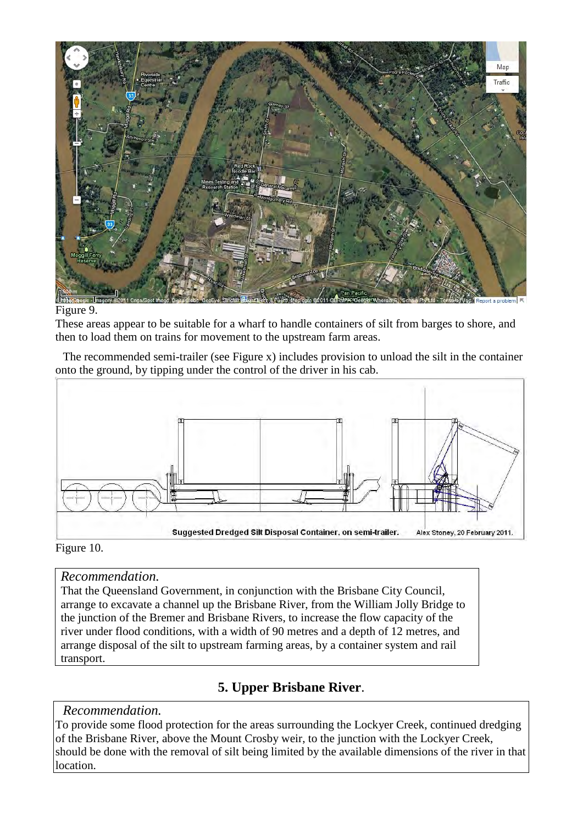

### Figure 9.

These areas appear to be suitable for a wharf to handle containers of silt from barges to shore, and then to load them on trains for movement to the upstream farm areas.

The recommended semi-trailer (see Figure x) includes provision to unload the silt in the container onto the ground, by tipping under the control of the driver in his cab.



## Figure 10.

## *Recommendation.*

That the Queensland Government, in conjunction with the Brisbane City Council, arrange to excavate a channel up the Brisbane River, from the William Jolly Bridge to the junction of the Bremer and Brisbane Rivers, to increase the flow capacity of the river under flood conditions, with a width of 90 metres and a depth of 12 metres, and arrange disposal of the silt to upstream farming areas, by a container system and rail transport.

# **5. Upper Brisbane River**.

## *Recommendation.*

To provide some flood protection for the areas surrounding the Lockyer Creek, continued dredging of the Brisbane River, above the Mount Crosby weir, to the junction with the Lockyer Creek, should be done with the removal of silt being limited by the available dimensions of the river in that location.